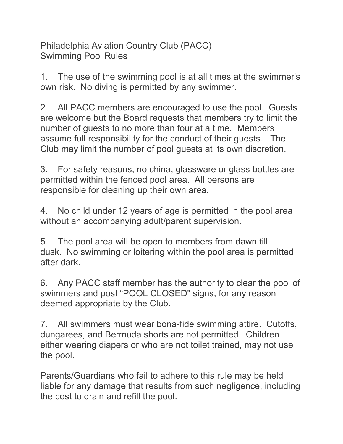Philadelphia Aviation Country Club (PACC) Swimming Pool Rules

1. The use of the swimming pool is at all times at the swimmer's own risk. No diving is permitted by any swimmer.

2. All PACC members are encouraged to use the pool. Guests are welcome but the Board requests that members try to limit the number of guests to no more than four at a time. Members assume full responsibility for the conduct of their guests. The Club may limit the number of pool guests at its own discretion.

3. For safety reasons, no china, glassware or glass bottles are permitted within the fenced pool area. All persons are responsible for cleaning up their own area.

4. No child under 12 years of age is permitted in the pool area without an accompanying adult/parent supervision.

5. The pool area will be open to members from dawn till dusk. No swimming or loitering within the pool area is permitted after dark.

6. Any PACC staff member has the authority to clear the pool of swimmers and post "POOL CLOSED" signs, for any reason deemed appropriate by the Club.

7. All swimmers must wear bona-fide swimming attire. Cutoffs, dungarees, and Bermuda shorts are not permitted. Children either wearing diapers or who are not toilet trained, may not use the pool.

Parents/Guardians who fail to adhere to this rule may be held liable for any damage that results from such negligence, including the cost to drain and refill the pool.